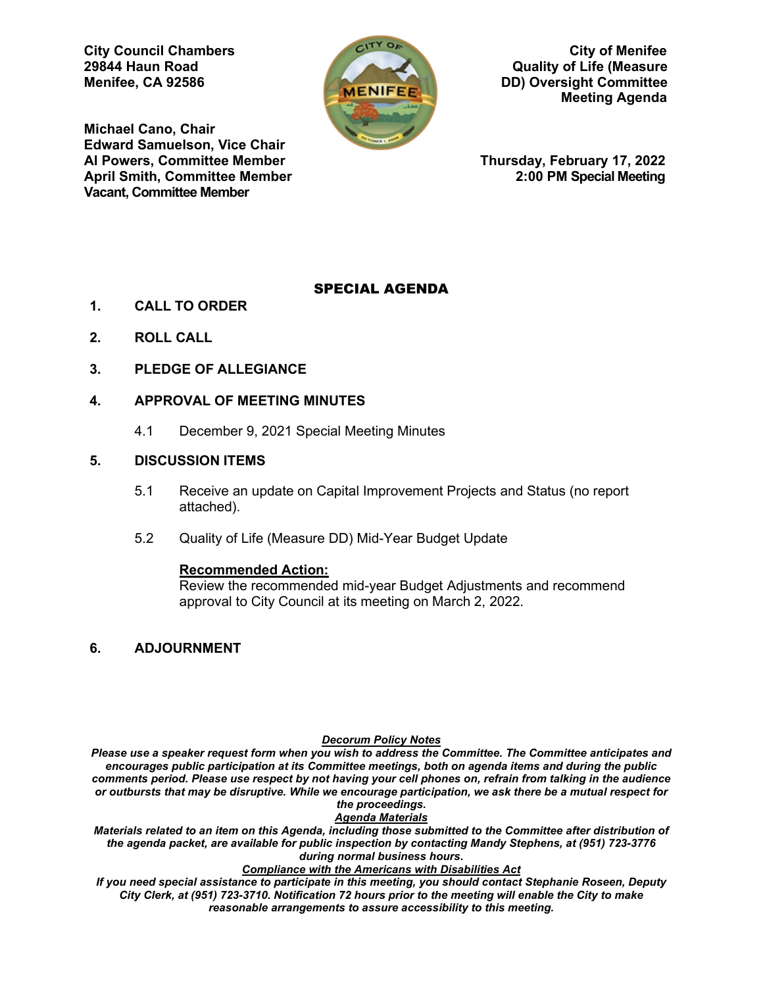

**City Council Chambers** City of Menifee<br>
29844 Haun Road **City of Life (Measure 29844 Haun Road Quality of Life (Measure MENIFEE, DD) Oversight Committee Meeting Agenda** 

**Michael Cano, Chair Edward Samuelson, Vice Chair April Smith, Committee Member Vacant, Committee Member** 

**Al Powers, Committee Member Thursday, February 17, 2022**

## SPECIAL AGENDA

- **1. CALL TO ORDER**
- **2. ROLL CALL**
- **3. PLEDGE OF ALLEGIANCE**
- **4. APPROVAL OF MEETING MINUTES**
	- 4.1 December 9, 2021 Special Meeting Minutes

## **5. DISCUSSION ITEMS**

- 5.1 Receive an update on Capital Improvement Projects and Status (no report attached).
- 5.2 Quality of Life (Measure DD) Mid-Year Budget Update

#### **Recommended Action:**

Review the recommended mid-year Budget Adjustments and recommend approval to City Council at its meeting on March 2, 2022.

**6. ADJOURNMENT**

#### *Decorum Policy Notes*

*Please use a speaker request form when you wish to address the Committee. The Committee anticipates and encourages public participation at its Committee meetings, both on agenda items and during the public comments period. Please use respect by not having your cell phones on, refrain from talking in the audience or outbursts that may be disruptive. While we encourage participation, we ask there be a mutual respect for the proceedings.*

*Agenda Materials*

*Materials related to an item on this Agenda, including those submitted to the Committee after distribution of the agenda packet, are available for public inspection by contacting Mandy Stephens, at (951) 723-3776 during normal business hours.* 

*Compliance with the Americans with Disabilities Act*

*If you need special assistance to participate in this meeting, you should contact Stephanie Roseen, Deputy City Clerk, at (951) 723-3710. Notification 72 hours prior to the meeting will enable the City to make reasonable arrangements to assure accessibility to this meeting.*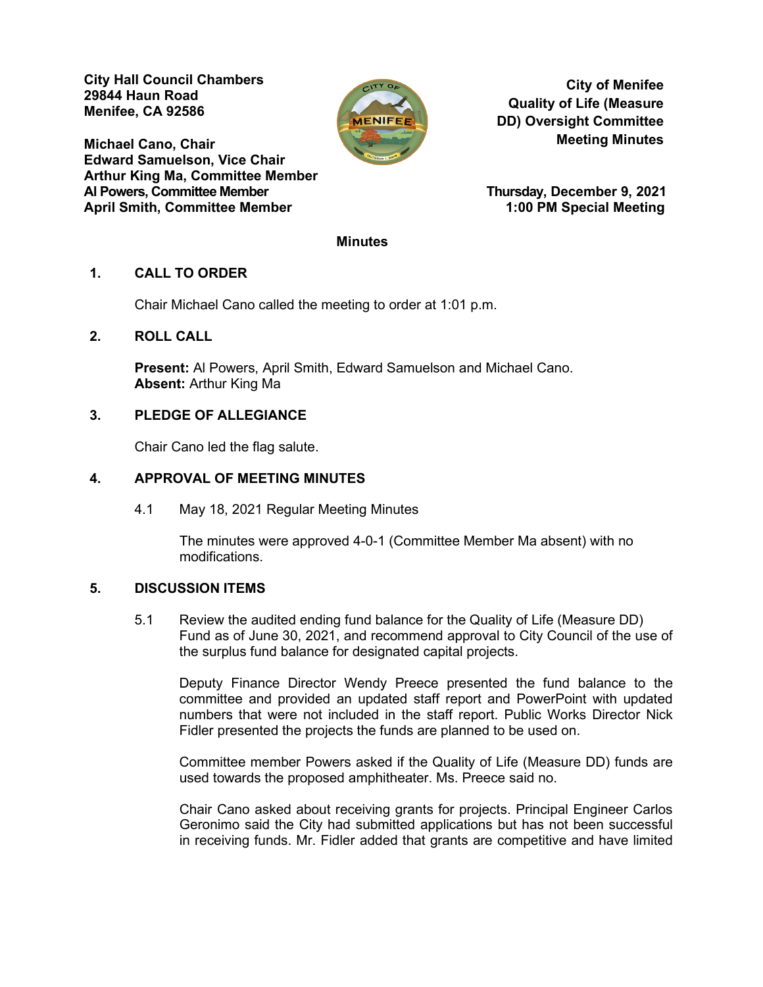**City Hall Council Chambers 29844 Haun Road Menifee, CA 92586** 

**Michael Cano, Chair Edward Samuelson, Vice Chair Arthur King Ma, Committee Member April Smith, Committee Member 1:00 PM Special Meeting**



**City of Menifee Quality of Life (Measure DD) Oversight Committee Meeting Minutes**

**Thursday, December 9, 2021** 

#### **Minutes**

## **1. CALL TO ORDER**

Chair Michael Cano called the meeting to order at 1:01 p.m.

## **2. ROLL CALL**

**Present:** Al Powers, April Smith, Edward Samuelson and Michael Cano. **Absent:** Arthur King Ma

## **3. PLEDGE OF ALLEGIANCE**

Chair Cano led the flag salute.

## **4. APPROVAL OF MEETING MINUTES**

4.1 May 18, 2021 Regular Meeting Minutes

The minutes were approved 4-0-1 (Committee Member Ma absent) with no modifications.

## **5. DISCUSSION ITEMS**

5.1 Review the audited ending fund balance for the Quality of Life (Measure DD) Fund as of June 30, 2021, and recommend approval to City Council of the use of the surplus fund balance for designated capital projects.

Deputy Finance Director Wendy Preece presented the fund balance to the committee and provided an updated staff report and PowerPoint with updated numbers that were not included in the staff report. Public Works Director Nick Fidler presented the projects the funds are planned to be used on.

Committee member Powers asked if the Quality of Life (Measure DD) funds are used towards the proposed amphitheater. Ms. Preece said no.

Chair Cano asked about receiving grants for projects. Principal Engineer Carlos Geronimo said the City had submitted applications but has not been successful in receiving funds. Mr. Fidler added that grants are competitive and have limited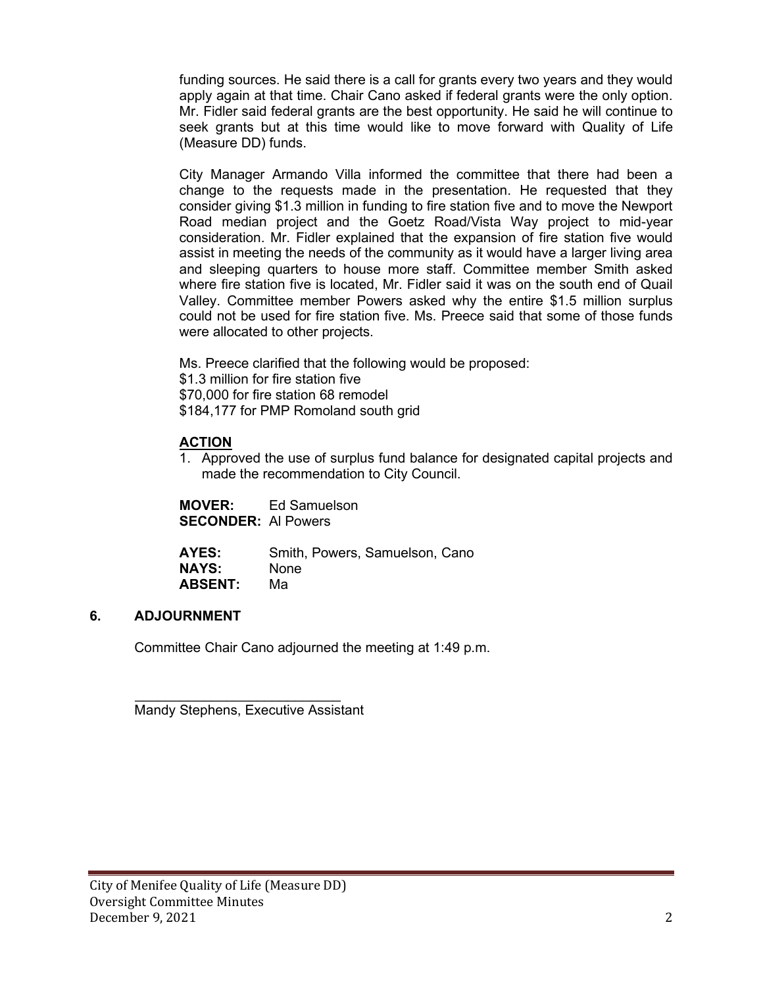funding sources. He said there is a call for grants every two years and they would apply again at that time. Chair Cano asked if federal grants were the only option. Mr. Fidler said federal grants are the best opportunity. He said he will continue to seek grants but at this time would like to move forward with Quality of Life (Measure DD) funds.

City Manager Armando Villa informed the committee that there had been a change to the requests made in the presentation. He requested that they consider giving \$1.3 million in funding to fire station five and to move the Newport Road median project and the Goetz Road/Vista Way project to mid-year consideration. Mr. Fidler explained that the expansion of fire station five would assist in meeting the needs of the community as it would have a larger living area and sleeping quarters to house more staff. Committee member Smith asked where fire station five is located, Mr. Fidler said it was on the south end of Quail Valley. Committee member Powers asked why the entire \$1.5 million surplus could not be used for fire station five. Ms. Preece said that some of those funds were allocated to other projects.

Ms. Preece clarified that the following would be proposed: \$1.3 million for fire station five \$70,000 for fire station 68 remodel \$184,177 for PMP Romoland south grid

## **ACTION**

1. Approved the use of surplus fund balance for designated capital projects and made the recommendation to City Council.

**MOVER:** Ed Samuelson **SECONDER:** Al Powers

**AYES:** Smith, Powers, Samuelson, Cano<br> **NAYS:** None **NAYS:** Nor<br>**ABSENT:** Ma **ABSENT:** 

## **6. ADJOURNMENT**

Committee Chair Cano adjourned the meeting at 1:49 p.m.

 $\mathcal{L}=\frac{1}{2}\sum_{i=1}^{n} \frac{1}{2} \sum_{i=1}^{n} \frac{1}{2} \sum_{i=1}^{n} \frac{1}{2} \sum_{i=1}^{n} \frac{1}{2} \sum_{i=1}^{n} \frac{1}{2} \sum_{i=1}^{n} \frac{1}{2} \sum_{i=1}^{n} \frac{1}{2} \sum_{i=1}^{n} \frac{1}{2} \sum_{i=1}^{n} \frac{1}{2} \sum_{i=1}^{n} \frac{1}{2} \sum_{i=1}^{n} \frac{1}{2} \sum_{i=1}^{n} \frac{1}{2} \sum_{i$ Mandy Stephens, Executive Assistant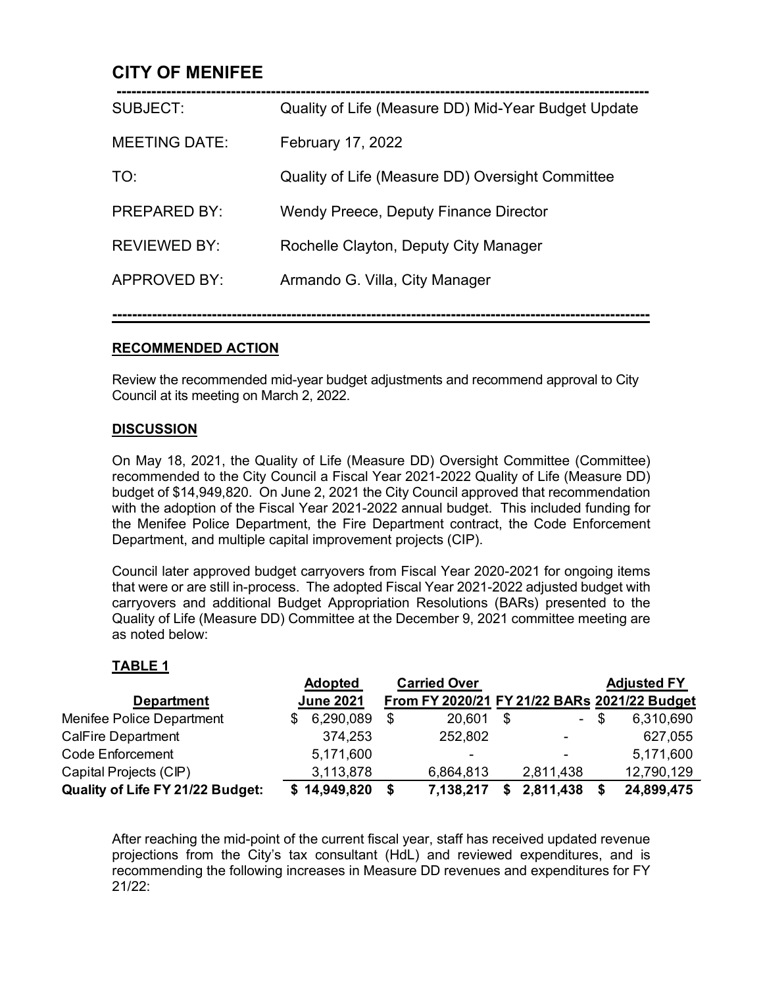## **CITY OF MENIFEE**

| SUBJECT:             | Quality of Life (Measure DD) Mid-Year Budget Update |
|----------------------|-----------------------------------------------------|
| <b>MEETING DATE:</b> | February 17, 2022                                   |
| TO:                  | Quality of Life (Measure DD) Oversight Committee    |
| <b>PREPARED BY:</b>  | Wendy Preece, Deputy Finance Director               |
| <b>REVIEWED BY:</b>  | Rochelle Clayton, Deputy City Manager               |
| APPROVED BY:         | Armando G. Villa, City Manager                      |
|                      |                                                     |

# **RECOMMENDED ACTION**

Review the recommended mid-year budget adjustments and recommend approval to City Council at its meeting on March 2, 2022.

**------------------------------------------------------------------------------------------------------------**

## **DISCUSSION**

On May 18, 2021, the Quality of Life (Measure DD) Oversight Committee (Committee) recommended to the City Council a Fiscal Year 2021-2022 Quality of Life (Measure DD) budget of \$14,949,820. On June 2, 2021 the City Council approved that recommendation with the adoption of the Fiscal Year 2021-2022 annual budget. This included funding for the Menifee Police Department, the Fire Department contract, the Code Enforcement Department, and multiple capital improvement projects (CIP).

Council later approved budget carryovers from Fiscal Year 2020-2021 for ongoing items that were or are still in-process. The adopted Fiscal Year 2021-2022 adjusted budget with carryovers and additional Budget Appropriation Resolutions (BARs) presented to the Quality of Life (Measure DD) Committee at the December 9, 2021 committee meeting are as noted below:

## **TABLE 1**

|                                  | <b>Adopted</b>   | <b>Carried Over</b> |                                  | <b>Adjusted FY</b>                           |
|----------------------------------|------------------|---------------------|----------------------------------|----------------------------------------------|
| <b>Department</b>                | <b>June 2021</b> |                     |                                  | From FY 2020/21 FY 21/22 BARs 2021/22 Budget |
| Menifee Police Department        | 6,290,089        | \$<br>20,601        | \$<br>$\mathcal{L}_{\text{max}}$ | \$<br>6,310,690                              |
| <b>CalFire Department</b>        | 374,253          | 252,802             | -                                | 627,055                                      |
| <b>Code Enforcement</b>          | 5,171,600        | -                   | -                                | 5,171,600                                    |
| Capital Projects (CIP)           | 3,113,878        | 6,864,813           | 2,811,438                        | 12,790,129                                   |
| Quality of Life FY 21/22 Budget: | \$14,949,820     | 7,138,217           | 2,811,438                        | 24,899,475                                   |

After reaching the mid-point of the current fiscal year, staff has received updated revenue projections from the City's tax consultant (HdL) and reviewed expenditures, and is recommending the following increases in Measure DD revenues and expenditures for FY 21/22: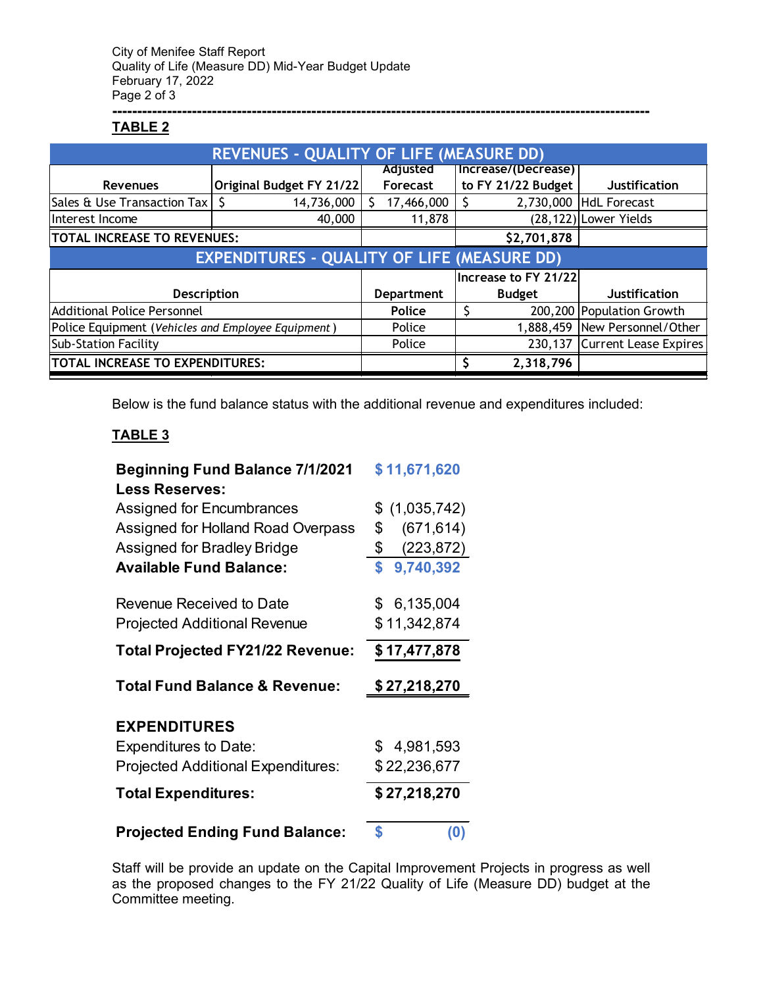#### **------------------------------------------------------------------------------------------------------------ TABLE 2**

|                                                    | <b>REVENUES - QUALITY OF LIFE (MEASURE DD)</b>     |                     |                      |                               |
|----------------------------------------------------|----------------------------------------------------|---------------------|----------------------|-------------------------------|
|                                                    |                                                    | <b>Adjusted</b>     | Increase/(Decrease)  |                               |
| <b>Revenues</b>                                    | Original Budget FY 21/22                           | Forecast            | to FY 21/22 Budget   | <b>Justification</b>          |
| Sales & Use Transaction Tax                        | 14,736,000                                         | 17,466,000          | 2,730,000            | HdL Forecast                  |
| Interest Income                                    | 40,000                                             | 11,878              |                      | (28,122) Lower Yields         |
| <b>TOTAL INCREASE TO REVENUES:</b>                 |                                                    |                     | \$2,701,878          |                               |
|                                                    | <b>EXPENDITURES - QUALITY OF LIFE (MEASURE DD)</b> |                     |                      |                               |
|                                                    |                                                    |                     | Increase to FY 21/22 |                               |
| <b>Description</b>                                 |                                                    | <b>Department</b>   | <b>Budget</b>        | <b>Justification</b>          |
| Additional Police Personnel                        |                                                    | Police              |                      | 200,200 Population Growth     |
| Police Equipment (Vehicles and Employee Equipment) |                                                    | 1,888,459<br>Police |                      | New Personnel/Other           |
| <b>Sub-Station Facility</b>                        |                                                    | Police              |                      | 230,137 Current Lease Expires |
| TOTAL INCREASE TO EXPENDITURES:                    |                                                    |                     | 2,318,796            |                               |

Below is the fund balance status with the additional revenue and expenditures included:

## **TABLE 3**

| <b>Beginning Fund Balance 7/1/2021</b>    | \$11,671,620     |
|-------------------------------------------|------------------|
| <b>Less Reserves:</b>                     |                  |
| Assigned for Encumbrances                 | \$(1,035,742)    |
| Assigned for Holland Road Overpass        | (671, 614)<br>\$ |
| Assigned for Bradley Bridge               | \$<br>(223, 872) |
| <b>Available Fund Balance:</b>            | 9,740,392<br>\$  |
| Revenue Received to Date                  | \$ 6,135,004     |
| <b>Projected Additional Revenue</b>       | \$11,342,874     |
| <b>Total Projected FY21/22 Revenue:</b>   | \$17,477,878     |
|                                           |                  |
| <b>Total Fund Balance &amp; Revenue:</b>  | \$27,218,270     |
| <b>EXPENDITURES</b>                       |                  |
| <b>Expenditures to Date:</b>              | \$4,981,593      |
| <b>Projected Additional Expenditures:</b> | \$22,236,677     |
| <b>Total Expenditures:</b>                | \$27,218,270     |

Staff will be provide an update on the Capital Improvement Projects in progress as well as the proposed changes to the FY 21/22 Quality of Life (Measure DD) budget at the Committee meeting.